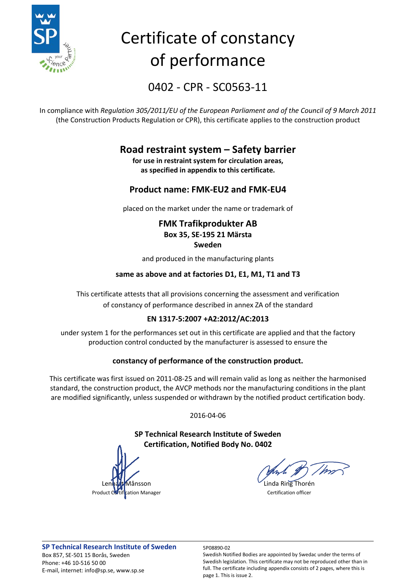

# Certificate of constancy of performance

0402 - CPR - SC0563-11

In compliance with *Regulation 305/2011/EU of the European Parliament and of the Council of 9 March 2011* (the Construction Products Regulation or CPR), this certificate applies to the construction product

### **Road restraint system – Safety barrier**

**for use in restraint system for circulation areas, as specified in appendix to this certificate.**

#### **Product name: FMK-EU2 and FMK-EU4**

placed on the market under the name or trademark of

#### **FMK Trafikprodukter AB Box 35, SE-195 21 Märsta Sweden**

and produced in the manufacturing plants

#### **same as above and at factories D1, E1, M1, T1 and T3**

This certificate attests that all provisions concerning the assessment and verification of constancy of performance described in annex ZA of the standard

#### **EN 1317-5:2007 +A2:2012/AC:2013**

under system 1 for the performances set out in this certificate are applied and that the factory production control conducted by the manufacturer is assessed to ensure the

#### **constancy of performance of the construction product.**

This certificate was first issued on 2011-08-25 and will remain valid as long as neither the harmonised standard, the construction product, the AVCP methods nor the manufacturing conditions in the plant are modified significantly, unless suspended or withdrawn by the notified product certification body.

2016-04-06

**SP Technical Research Institute of Sweden Certification, Notified Body No. 0402**

 $\mathcal{L}_{\text{Linda Ring}}$ Thorén



Swedish Notified Bodies are appointed by Swedac under the terms of Swedish legislation. This certificate may not be reproduced other than in full. The certificate including appendix consists of 2 pages, where this is page 1. This is issue 2.